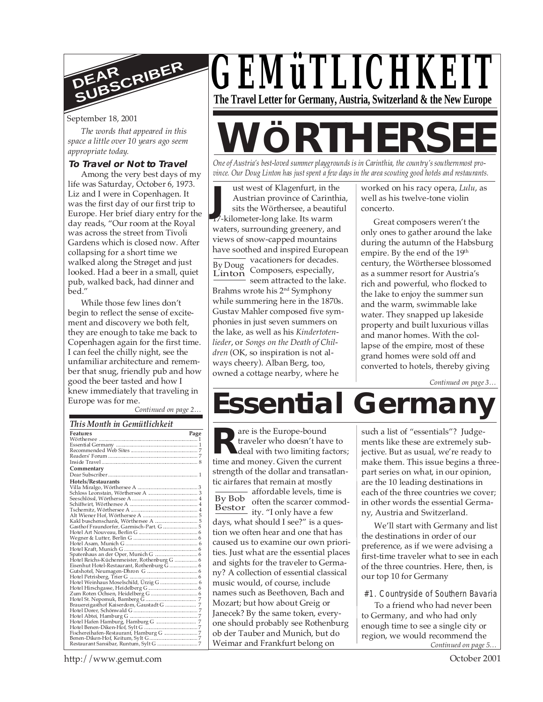

September 18, 2001

*The words that appeared in this space a little over 10 years ago seem appropriate today.*

#### **To Travel or Not to Travel**

Among the very best days of my life was Saturday, October 6, 1973. Liz and I were in Copenhagen. It was the first day of our first trip to Europe. Her brief diary entry for the day reads, "Our room at the Royal was across the street from Tivoli Gardens which is closed now. After collapsing for a short time we walked along the Strøget and just looked. Had a beer in a small, quiet pub, walked back, had dinner and bed."

While those few lines don't begin to reflect the sense of excitement and discovery we both felt, they are enough to take me back to Copenhagen again for the first time. I can feel the chilly night, see the unfamiliar architecture and remember that snug, friendly pub and how good the beer tasted and how I knew immediately that traveling in Europe was for me.

*Continued on page 2…*

| This Month in Gemütlichkeit                 |      |
|---------------------------------------------|------|
| <b>Features</b>                             | Page |
|                                             |      |
|                                             |      |
|                                             |      |
|                                             |      |
|                                             |      |
| Commentary                                  |      |
|                                             |      |
| Hotels/Restaurants                          |      |
|                                             |      |
|                                             |      |
|                                             |      |
|                                             |      |
|                                             |      |
|                                             |      |
|                                             |      |
| Gasthof Fraundorfer, Garmisch-Part. G  5    |      |
|                                             |      |
|                                             |      |
|                                             |      |
|                                             |      |
|                                             |      |
| Hotel Reichs-Küchenmeister, Rothenburg G  6 |      |
|                                             |      |
|                                             |      |
|                                             |      |
|                                             |      |
|                                             |      |
|                                             |      |
|                                             |      |
|                                             |      |
|                                             |      |
|                                             |      |
|                                             |      |
|                                             |      |
|                                             |      |
|                                             |      |
|                                             |      |

*GEMüTLICHKEIT* **The Travel Letter for Germany, Austria, Switzerland & the New Europe**

# **WÖRTHERS**

*One of Austria's best-loved summer playgrounds is in Carinthia, the country's southernmost province. Our Doug Linton has just spent a few days in the area scouting good hotels and restaurants.*

**January 17-kilometer-long lake. Its warm<br>17-kilometer-long lake. Its warm** By Doug Linton ust west of Klagenfurt, in the Austrian province of Carinthia, sits the Wörthersee, a beautiful waters, surrounding greenery, and views of snow-capped mountains have soothed and inspired European vacationers for decades. Composers, especially, seem attracted to the lake. Brahms wrote his 2nd Symphony while summering here in the 1870s. Gustav Mahler composed five symphonies in just seven summers on the lake, as well as his *Kindertotenlieder*, or *Songs on the Death of Children* (OK, so inspiration is not always cheery). Alban Berg, too, owned a cottage nearby, where he

worked on his racy opera, *Lulu*, as well as his twelve-tone violin concerto.

Great composers weren't the only ones to gather around the lake during the autumn of the Habsburg empire. By the end of the 19<sup>th</sup> century, the Wörthersee blossomed as a summer resort for Austria's rich and powerful, who flocked to the lake to enjoy the summer sun and the warm, swimmable lake water. They snapped up lakeside property and built luxurious villas and manor homes. With the collapse of the empire, most of these grand homes were sold off and converted to hotels, thereby giving

*Continued on page 3…*

# **Essential Germany**

are is the Europe-bound traveler who doesn't have to deal with two limiting factors; time and money. Given the current strength of the dollar and transatlantic airfares that remain at mostly

By Bob Bestor the scale come.<br>
ity. "I only have a few affordable levels, time is often the scarcer commoddays, what should I see?" is a question we often hear and one that has caused us to examine our own priorities. Just what are the essential places and sights for the traveler to Germany? A collection of essential classical music would, of course, include names such as Beethoven, Bach and Mozart; but how about Greig or Janecek? By the same token, everyone should probably see Rothenburg ob der Tauber and Munich, but do Weimar and Frankfurt belong on

such a list of "essentials"? Judgements like these are extremely subjective. But as usual, we're ready to make them. This issue begins a threepart series on what, in our opinion, are the 10 leading destinations in each of the three countries we cover; in other words the essential Germany, Austria and Switzerland.

We'll start with Germany and list the destinations in order of our preference, as if we were advising a first-time traveler what to see in each of the three countries. Here, then, is our top 10 for Germany

#1. Countryside of Southern Bavaria

*Continued on page 5…* To a friend who had never been to Germany, and who had only enough time to see a single city or region, we would recommend the

http://www.gemut.com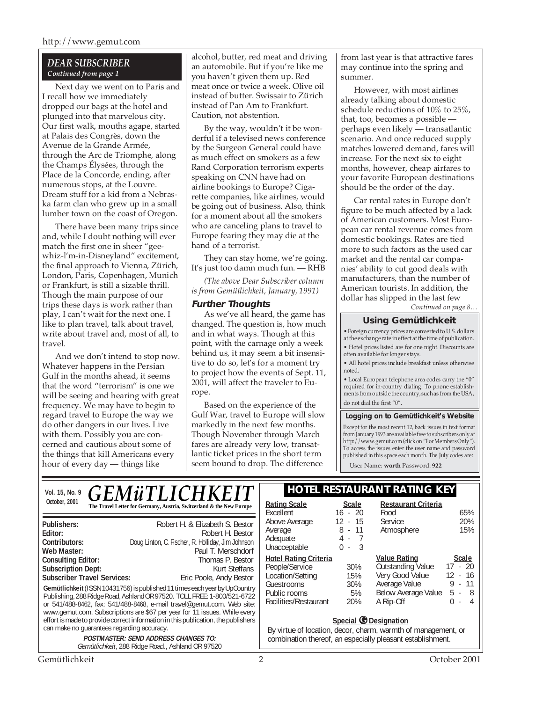#### *DEAR SUBSCRIBER Continued from page 1*

Next day we went on to Paris and I recall how we immediately dropped our bags at the hotel and plunged into that marvelous city. Our first walk, mouths agape, started at Palais des Congrès, down the Avenue de la Grande Armée, through the Arc de Triomphe, along the Champs Élysées, through the Place de la Concorde, ending, after numerous stops, at the Louvre. Dream stuff for a kid from a Nebraska farm clan who grew up in a small lumber town on the coast of Oregon.

There have been many trips since and, while I doubt nothing will ever match the first one in sheer "geewhiz-l'm-in-Disneyland" excitement, the final approach to Vienna, Zürich, London, Paris, Copenhagen, Munich or Frankfurt, is still a sizable thrill. Though the main purpose of our trips these days is work rather than play, I can't wait for the next one. I like to plan travel, talk about travel, write about travel and, most of all, to travel.

And we don't intend to stop now. Whatever happens in the Persian Gulf in the months ahead, it seems that the word "terrorism" is one we will be seeing and hearing with great frequency. We may have to begin to regard travel to Europe the way we do other dangers in our lives. Live with them. Possibly you are concerned and cautious about some of the things that kill Americans every hour of every day — things like

alcohol, butter, red meat and driving an automobile. But if you're like me you haven't given them up. Red meat once or twice a week. Olive oil instead of butter. Swissair to Zürich instead of Pan Am to Frankfurt. Caution, not abstention.

By the way, wouldn't it be wonderful if a televised news conference by the Surgeon General could have as much effect on smokers as a few Rand Corporation terrorism experts speaking on CNN have had on airline bookings to Europe? Cigarette companies, like airlines, would be going out of business. Also, think for a moment about all the smokers who are canceling plans to travel to Europe fearing they may die at the hand of a terrorist.

They can stay home, we're going. It's just too damn much fun. — RHB

*(The above Dear Subscriber column is from Gemütlichkeit, January, 1991)*

#### **Further Thoughts**

As we've all heard, the game has changed. The question is, how much and in what ways. Though at this point, with the carnage only a week behind us, it may seem a bit insensitive to do so, let's for a moment try to project how the events of Sept. 11, 2001, will affect the traveler to Europe.

Based on the experience of the Gulf War, travel to Europe will slow markedly in the next few months. Though November through March fares are already very low, transatlantic ticket prices in the short term seem bound to drop. The difference

from last year is that attractive fares may continue into the spring and summer.

However, with most airlines already talking about domestic schedule reductions of 10% to 25%, that, too, becomes a possible perhaps even likely — transatlantic scenario. And once reduced supply matches lowered demand, fares will increase. For the next six to eight months, however, cheap airfares to your favorite European destinations should be the order of the day.

Car rental rates in Europe don't figure to be much affected by a lack of American customers. Most European car rental revenue comes from domestic bookings. Rates are tied more to such factors as the used car market and the rental car companies' ability to cut good deals with manufacturers, than the number of American tourists. In addition, the dollar has slipped in the last few

*Continued on page 8…*

#### **Using Gemütlichkeit**

• Foreign currency prices are converted to U.S. dollars at the exchange rate in effect at the time of publication. • Hotel prices listed are for one night. Discounts are often available for longer stays.

• All hotel prices include breakfast unless otherwise noted.

• Local European telephone area codes carry the "0" required for in-country dialing. To phone establishments from outside the country, such as from the USA, do not dial the first "0".

#### **Logging on to Gemütlichkeit's Website**

Except for the most recent 12, back issues in text format from January 1993 are available free to subscribers only at http://www.gemut.com (click on "For Members Only"). To access the issues enter the user name and password published in this space each month. The July codes are:

User Name: **worth** Password: **922**

| Vol. 15, No. 9                                                                                                                                        | <i><b>GEMüTLICHKEIT</b></i>                                                                     | <b>HOTEL RESTAURANT RATING KEY</b>                         |              |                            |                                    |
|-------------------------------------------------------------------------------------------------------------------------------------------------------|-------------------------------------------------------------------------------------------------|------------------------------------------------------------|--------------|----------------------------|------------------------------------|
| October, 2001                                                                                                                                         | The Travel Letter for Germany, Austria, Switzerland & the New Europe                            | <b>Rating Scale</b>                                        | <b>Scale</b> | <b>Restaurant Criteria</b> |                                    |
|                                                                                                                                                       |                                                                                                 | Excellent                                                  | $16 - 20$    | Food                       | 65%                                |
| Publishers:                                                                                                                                           | Robert H. & Elizabeth S. Bestor                                                                 | Above Average                                              | 12 - 15      | Service                    | 20%                                |
| Editor:                                                                                                                                               | Robert H. Bestor                                                                                | Average                                                    | $8 - 11$     | Atmosphere                 | 15%                                |
| Contributors:                                                                                                                                         | Doug Linton, C. Fischer, R. Holliday, Jim Johnson                                               | Adequate                                                   | - 7<br>4 -   |                            |                                    |
| Web Master:                                                                                                                                           | Paul T. Merschdorf                                                                              | Unacceptable                                               | - 3<br>$0 -$ |                            |                                    |
| <b>Consulting Editor:</b>                                                                                                                             | Thomas P. Bestor                                                                                | <b>Hotel Rating Criteria</b>                               |              | <b>Value Rating</b>        | <b>Scale</b>                       |
| <b>Subscription Dept:</b>                                                                                                                             | Kurt Steffans                                                                                   | People/Service                                             | 30%          | Outstanding Value          | $17 - 20$                          |
| <b>Subscriber Travel Services:</b>                                                                                                                    | Eric Poole, Andy Bestor                                                                         | Location/Setting                                           | 15%          | Very Good Value            | 12 - 16                            |
|                                                                                                                                                       |                                                                                                 | Guestrooms                                                 | 30%          | Average Value              | -11<br>9 -                         |
| Gemütlichkeit (ISSN 10431756) is published 11 times each year by UpCountry<br>Publishing, 288 Ridge Road, Ashland OR 97520. TOLL FREE: 1-800/521-6722 |                                                                                                 | Public rooms                                               | 5%           | Below Average Value        | -8<br>5<br>$\sim$                  |
| or 541/488-8462, fax: 541/488-8468, e-mail travel@gemut.com. Web site:                                                                                |                                                                                                 | Facilities/Restaurant                                      | 20%          | A Rip-Off                  | 0<br>4<br>$\overline{\phantom{a}}$ |
|                                                                                                                                                       | www.gemut.com. Subscriptions are \$67 per year for 11 issues. While every                       |                                                            |              |                            |                                    |
| effort is made to provide correct information in this publication, the publishers                                                                     |                                                                                                 | Special C Designation                                      |              |                            |                                    |
| can make no guarantees regarding accuracy.                                                                                                            | By virtue of location, decor, charm, warmth of management, or                                   |                                                            |              |                            |                                    |
|                                                                                                                                                       | <b>POSTMASTER: SEND ADDRESS CHANGES TO:</b><br>Gemütlichkeit, 288 Ridge Road., Ashland OR 97520 | combination thereof, an especially pleasant establishment. |              |                            |                                    |
| Gemütlichkeit                                                                                                                                         |                                                                                                 |                                                            |              |                            | October 2001                       |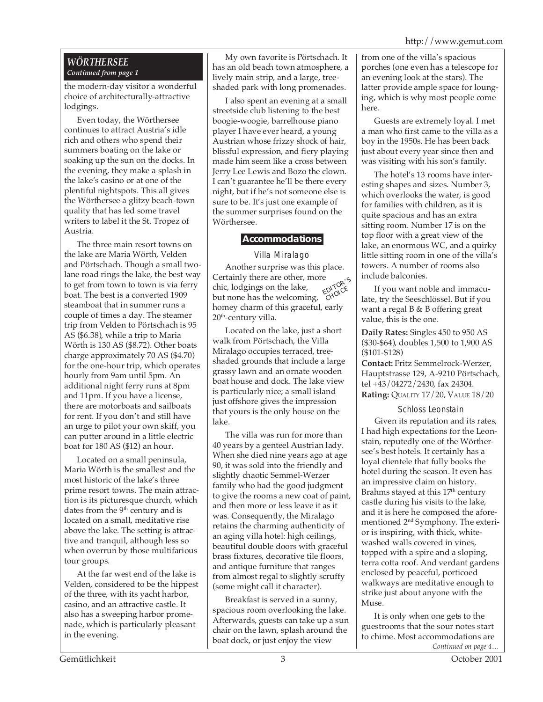#### *WÖRTHERSEE Continued from page 1*

the modern-day visitor a wonderful choice of architecturally-attractive lodgings.

Even today, the Wörthersee continues to attract Austria's idle rich and others who spend their summers boating on the lake or soaking up the sun on the docks. In the evening, they make a splash in the lake's casino or at one of the plentiful nightspots. This all gives the Wörthersee a glitzy beach-town quality that has led some travel writers to label it the St. Tropez of Austria.

The three main resort towns on the lake are Maria Wörth, Velden and Pörtschach. Though a small twolane road rings the lake, the best way to get from town to town is via ferry boat. The best is a converted 1909 steamboat that in summer runs a couple of times a day. The steamer trip from Velden to Pörtschach is 95 AS (\$6.38), while a trip to Maria Wörth is 130 AS (\$8.72). Other boats charge approximately 70 AS (\$4.70) for the one-hour trip, which operates hourly from 9am until 5pm. An additional night ferry runs at 8pm and 11pm. If you have a license, there are motorboats and sailboats for rent. If you don't and still have an urge to pilot your own skiff, you can putter around in a little electric boat for 180 AS (\$12) an hour.

Located on a small peninsula, Maria Wörth is the smallest and the most historic of the lake's three prime resort towns. The main attraction is its picturesque church, which dates from the 9<sup>th</sup> century and is located on a small, meditative rise above the lake. The setting is attractive and tranquil, although less so when overrun by those multifarious tour groups.

At the far west end of the lake is Velden, considered to be the hippest of the three, with its yacht harbor, casino, and an attractive castle. It also has a sweeping harbor promenade, which is particularly pleasant in the evening.

My own favorite is Pörtschach. It has an old beach town atmosphere, a lively main strip, and a large, treeshaded park with long promenades.

I also spent an evening at a small streetside club listening to the best boogie-woogie, barrelhouse piano player I have ever heard, a young Austrian whose frizzy shock of hair, blissful expression, and fiery playing made him seem like a cross between Jerry Lee Lewis and Bozo the clown. I can't guarantee he'll be there every night, but if he's not someone else is sure to be. It's just one example of the summer surprises found on the Wörthersee.

#### **Accommodations**

#### Villa Miralago

Another surprise was this place. Certainly there are other, more chic, lodgings on the lake, but none has the welcoming, homey charm of this graceful, early  $20<sup>th</sup>$ -century villa. EDITOR'S

Located on the lake, just a short walk from Pörtschach, the Villa Miralago occupies terraced, treeshaded grounds that include a large grassy lawn and an ornate wooden boat house and dock. The lake view is particularly nice; a small island just offshore gives the impression that yours is the only house on the lake.

The villa was run for more than 40 years by a genteel Austrian lady. When she died nine years ago at age 90, it was sold into the friendly and slightly chaotic Semmel-Werzer family who had the good judgment to give the rooms a new coat of paint, and then more or less leave it as it was. Consequently, the Miralago retains the charming authenticity of an aging villa hotel: high ceilings, beautiful double doors with graceful brass fixtures, decorative tile floors, and antique furniture that ranges from almost regal to slightly scruffy (some might call it character).

Breakfast is served in a sunny, spacious room overlooking the lake. Afterwards, guests can take up a sun chair on the lawn, splash around the boat dock, or just enjoy the view

from one of the villa's spacious porches (one even has a telescope for an evening look at the stars). The latter provide ample space for lounging, which is why most people come here.

Guests are extremely loyal. I met a man who first came to the villa as a boy in the 1950s. He has been back just about every year since then and was visiting with his son's family.

The hotel's 13 rooms have interesting shapes and sizes. Number 3, which overlooks the water, is good for families with children, as it is quite spacious and has an extra sitting room. Number 17 is on the top floor with a great view of the lake, an enormous WC, and a quirky little sitting room in one of the villa's towers. A number of rooms also include balconies.

If you want noble and immaculate, try the Seeschlössel. But if you want a regal B & B offering great value, this is the one.

**Daily Rates:** Singles 450 to 950 AS (\$30-\$64), doubles 1,500 to 1,900 AS (\$101-\$128)

**Contact:** Fritz Semmelrock-Werzer, Hauptstrasse 129, A-9210 Pörtschach, tel +43/04272/2430, fax 24304. **Rating:** QUALITY 17/20, VALUE 18/20

#### Schloss Leonstain

Given its reputation and its rates, I had high expectations for the Leonstain, reputedly one of the Wörthersee's best hotels. It certainly has a loyal clientele that fully books the hotel during the season. It even has an impressive claim on history. Brahms stayed at this 17<sup>th</sup> century castle during his visits to the lake, and it is here he composed the aforementioned 2nd Symphony. The exterior is inspiring, with thick, whitewashed walls covered in vines, topped with a spire and a sloping, terra cotta roof. And verdant gardens enclosed by peaceful, porticoed walkways are meditative enough to strike just about anyone with the Muse.

*Continued on page 4…* It is only when one gets to the guestrooms that the sour notes start to chime. Most accommodations are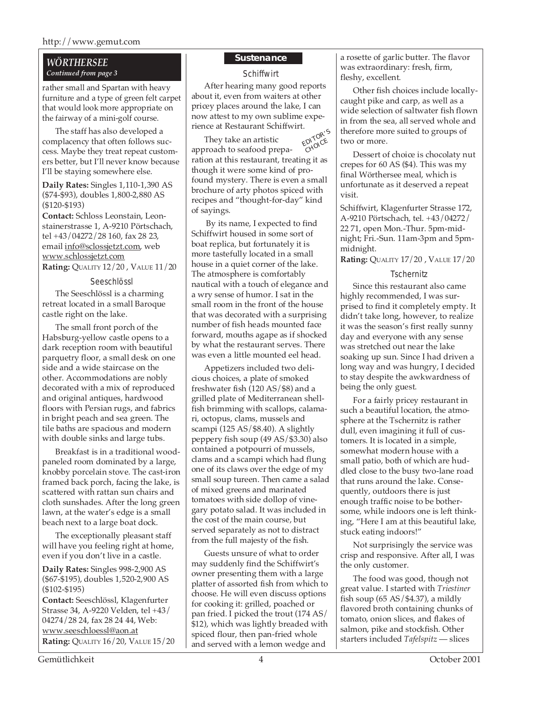#### http://www.gemut.com

#### *WÖRTHERSEE Continued from page 3*

rather small and Spartan with heavy furniture and a type of green felt carpet that would look more appropriate on the fairway of a mini-golf course.

The staff has also developed a complacency that often follows success. Maybe they treat repeat customers better, but I'll never know because I'll be staying somewhere else.

**Daily Rates:** Singles 1,110-1,390 AS (\$74-\$93), doubles 1,800-2,880 AS (\$120-\$193)

**Contact:** Schloss Leonstain, Leonstainerstrasse 1, A-9210 Pörtschach, tel +43/04272/28 160, fax 28 23, email info@sclossjetzt.com, web www.schlossjetzt.com

**Rating:** QUALITY 12/20 , VALUE 11/20

#### Seeschlössl

The Seeschlössl is a charming retreat located in a small Baroque castle right on the lake.

The small front porch of the Habsburg-yellow castle opens to a dark reception room with beautiful parquetry floor, a small desk on one side and a wide staircase on the other. Accommodations are nobly decorated with a mix of reproduced and original antiques, hardwood floors with Persian rugs, and fabrics in bright peach and sea green. The tile baths are spacious and modern with double sinks and large tubs.

Breakfast is in a traditional woodpaneled room dominated by a large, knobby porcelain stove. The cast-iron framed back porch, facing the lake, is scattered with rattan sun chairs and cloth sunshades. After the long green lawn, at the water's edge is a small beach next to a large boat dock.

The exceptionally pleasant staff will have you feeling right at home, even if you don't live in a castle.

**Daily Rates:** Singles 998-2,900 AS (\$67-\$195), doubles 1,520-2,900 AS (\$102-\$195)

**Contact:** Seeschlössl, Klagenfurter Strasse 34, A-9220 Velden, tel +43/ 04274/28 24, fax 28 24 44, Web: www.seeschloessl@aon.at **Rating:** QUALITY 16/20, VALUE 15/20

#### **Sustenance**

**Schiffwirt** 

After hearing many good reports about it, even from waiters at other pricey places around the lake, I can now attest to my own sublime experience at Restaurant Schiffwirt.

EDITOR'<sup>S</sup> **MANCE** They take an artistic approach to seafood preparation at this restaurant, treating it as though it were some kind of profound mystery. There is even a small brochure of arty photos spiced with recipes and "thought-for-day" kind of sayings.

 By its name, I expected to find Schiffwirt housed in some sort of boat replica, but fortunately it is more tastefully located in a small house in a quiet corner of the lake. The atmosphere is comfortably nautical with a touch of elegance and a wry sense of humor. I sat in the small room in the front of the house that was decorated with a surprising number of fish heads mounted face forward, mouths agape as if shocked by what the restaurant serves. There was even a little mounted eel head.

Appetizers included two delicious choices, a plate of smoked freshwater fish (120 AS/\$8) and a grilled plate of Mediterranean shellfish brimming with scallops, calamari, octopus, clams, mussels and scampi (125 AS/\$8.40). A slightly peppery fish soup (49 AS/\$3.30) also contained a potpourri of mussels, clams and a scampi which had flung one of its claws over the edge of my small soup tureen. Then came a salad of mixed greens and marinated tomatoes with side dollop of vinegary potato salad. It was included in the cost of the main course, but served separately as not to distract from the full majesty of the fish.

Guests unsure of what to order may suddenly find the Schiffwirt's owner presenting them with a large platter of assorted fish from which to choose. He will even discuss options for cooking it: grilled, poached or pan fried. I picked the trout (174 AS/ \$12), which was lightly breaded with spiced flour, then pan-fried whole and served with a lemon wedge and

a rosette of garlic butter. The flavor was extraordinary: fresh, firm, fleshy, excellent.

Other fish choices include locallycaught pike and carp, as well as a wide selection of saltwater fish flown in from the sea, all served whole and therefore more suited to groups of two or more.

Dessert of choice is chocolaty nut crepes for 60 AS (\$4). This was my final Wörthersee meal, which is unfortunate as it deserved a repeat visit.

Schiffwirt, Klagenfurter Strasse 172, A-9210 Pörtschach, tel. +43/04272/ 22 71, open Mon.-Thur. 5pm-midnight; Fri.-Sun. 11am-3pm and 5pmmidnight.

**Rating:** QUALITY 17/20 , VALUE 17/20

#### **Tschernitz**

Since this restaurant also came highly recommended, I was surprised to find it completely empty. It didn't take long, however, to realize it was the season's first really sunny day and everyone with any sense was stretched out near the lake soaking up sun. Since I had driven a long way and was hungry, I decided to stay despite the awkwardness of being the only guest.

For a fairly pricey restaurant in such a beautiful location, the atmosphere at the Tschernitz is rather dull, even imagining it full of customers. It is located in a simple, somewhat modern house with a small patio, both of which are huddled close to the busy two-lane road that runs around the lake. Consequently, outdoors there is just enough traffic noise to be bothersome, while indoors one is left thinking, "Here I am at this beautiful lake, stuck eating indoors!"

Not surprisingly the service was crisp and responsive. After all, I was the only customer.

The food was good, though not great value. I started with *Triestiner* fish soup  $(65 \text{ AS}/\text{$}4.37)$ , a mildly flavored broth containing chunks of tomato, onion slices, and flakes of salmon, pike and stockfish. Other starters included *Tafelspitz* — slices

Gemütlichkeit 4 October 2001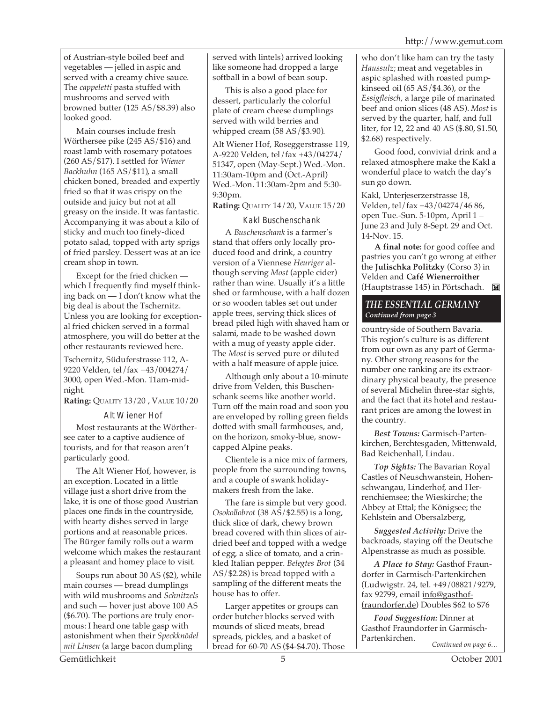of Austrian-style boiled beef and vegetables — jelled in aspic and served with a creamy chive sauce. The *cappeletti* pasta stuffed with mushrooms and served with browned butter (125 AS/\$8.39) also looked good.

Main courses include fresh Wörthersee pike (245 AS/\$16) and roast lamb with rosemary potatoes (260 AS/\$17). I settled for *Wiener Backhuhn* (165 AS/\$11), a small chicken boned, breaded and expertly fried so that it was crispy on the outside and juicy but not at all greasy on the inside. It was fantastic. Accompanying it was about a kilo of sticky and much too finely-diced potato salad, topped with arty sprigs of fried parsley. Dessert was at an ice cream shop in town.

Except for the fried chicken which I frequently find myself thinking back on — I don't know what the big deal is about the Tschernitz. Unless you are looking for exceptional fried chicken served in a formal atmosphere, you will do better at the other restaurants reviewed here.

Tschernitz, Süduferstrasse 112, A-9220 Velden, tel/fax +43/004274/ 3000, open Wed.-Mon. 11am-midnight.

**Rating:** QUALITY 13/20 , VALUE 10/20

#### Alt Wiener Hof

Most restaurants at the Wörthersee cater to a captive audience of tourists, and for that reason aren't particularly good.

The Alt Wiener Hof, however, is an exception. Located in a little village just a short drive from the lake, it is one of those good Austrian places one finds in the countryside, with hearty dishes served in large portions and at reasonable prices. The Bürger family rolls out a warm welcome which makes the restaurant a pleasant and homey place to visit.

Soups run about 30 AS (\$2), while main courses — bread dumplings with wild mushrooms and *Schnitzels* and such — hover just above 100 AS (\$6.70). The portions are truly enormous: I heard one table gasp with astonishment when their *Speckknödel mit Linsen* (a large bacon dumpling

served with lintels) arrived looking like someone had dropped a large softball in a bowl of bean soup.

This is also a good place for dessert, particularly the colorful plate of cream cheese dumplings served with wild berries and whipped cream (58 AS/\$3.90).

Alt Wiener Hof, Roseggerstrasse 119, A-9220 Velden, tel/fax +43/04274/ 51347, open (May-Sept.) Wed.-Mon. 11:30am-10pm and (Oct.-April) Wed.-Mon. 11:30am-2pm and 5:30- 9:30pm.

**Rating:** QUALITY 14/20, VALUE 15/20

#### Kakl Buschenschank

A *Buschenschank* is a farmer's stand that offers only locally produced food and drink, a country version of a Viennese *Heuriger* although serving *Most* (apple cider) rather than wine. Usually it's a little shed or farmhouse, with a half dozen or so wooden tables set out under apple trees, serving thick slices of bread piled high with shaved ham or salami, made to be washed down with a mug of yeasty apple cider. The *Most* is served pure or diluted with a half measure of apple juice.

Although only about a 10-minute drive from Velden, this Buschenschank seems like another world. Turn off the main road and soon you are enveloped by rolling green fields dotted with small farmhouses, and, on the horizon, smoky-blue, snowcapped Alpine peaks.

Clientele is a nice mix of farmers, people from the surrounding towns, and a couple of swank holidaymakers fresh from the lake.

The fare is simple but very good. *Osokollobrot* (38 AS/\$2.55) is a long, thick slice of dark, chewy brown bread covered with thin slices of airdried beef and topped with a wedge of egg, a slice of tomato, and a crinkled Italian pepper. *Belegtes Brot* (34 AS/\$2.28) is bread topped with a sampling of the different meats the house has to offer.

Larger appetites or groups can order butcher blocks served with mounds of sliced meats, bread spreads, pickles, and a basket of bread for 60-70 AS (\$4-\$4.70). Those who don't like ham can try the tasty *Haussulz*; meat and vegetables in aspic splashed with roasted pumpkinseed oil (65 AS/\$4.36), or the *Essigfleisch*, a large pile of marinated beef and onion slices (48 AS). *Most* is served by the quarter, half, and full liter, for 12, 22 and 40 AS (\$.80, \$1.50, \$2.68) respectively.

Good food, convivial drink and a relaxed atmosphere make the Kakl a wonderful place to watch the day's sun go down.

Kakl, Unterjeserzerstrasse 18, Velden, tel/fax +43/04274/46 86, open Tue.-Sun. 5-10pm, April 1 – June 23 and July 8-Sept. 29 and Oct. 14-Nov. 15.

**A final note:** for good coffee and pastries you can't go wrong at either the **Julischka Politzky** (Corso 3) in Velden and **Café Wienerroither** (Hauptstrasse 145) in Pörtschach. **Twill** 

#### *THE ESSENTIAL GERMANY Continued from page 3*

countryside of Southern Bavaria. This region's culture is as different from our own as any part of Germany. Other strong reasons for the number one ranking are its extraordinary physical beauty, the presence of several Michelin three-star sights, and the fact that its hotel and restaurant prices are among the lowest in the country.

*Best Towns:* Garmisch-Partenkirchen, Berchtesgaden, Mittenwald, Bad Reichenhall, Lindau.

*Top Sights:* The Bavarian Royal Castles of Neuschwanstein, Hohenschwangau, Linderhof, and Herrenchiemsee; the Wieskirche; the Abbey at Ettal; the Königsee; the Kehlstein and Obersalzberg,

*Suggested Activity:* Drive the backroads, staying off the Deutsche Alpenstrasse as much as possible.

*A Place to Stay:* Gasthof Fraundorfer in Garmisch-Partenkirchen (Ludwigstr. 24, tel. +49/08821/9279, fax 92799, email info@gasthoffraundorfer.de) Doubles \$62 to \$76

*Continued on page 6… Food Suggestion:* Dinner at Gasthof Fraundorfer in Garmisch-Partenkirchen.

Gemütlichkeit 5 October 2001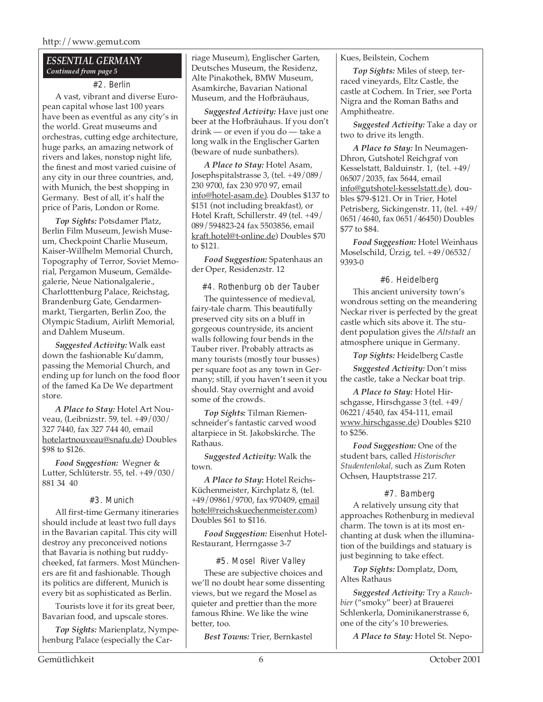#### *ESSENTIAL GERMANY Continued from page 5*

#### #2. Berlin

A vast, vibrant and diverse European capital whose last 100 years have been as eventful as any city's in the world. Great museums and orchestras, cutting edge architecture, huge parks, an amazing network of rivers and lakes, nonstop night life, the finest and most varied cuisine of any city in our three countries, and, with Munich, the best shopping in Germany. Best of all, it's half the price of Paris, London or Rome.

*Top Sights:* Potsdamer Platz, Berlin Film Museum, Jewish Museum, Checkpoint Charlie Museum, Kaiser-Willhelm Memorial Church, Topography of Terror, Soviet Memorial, Pergamon Museum, Gemäldegalerie, Neue Nationalgalerie., Charlotttenburg Palace, Reichstag, Brandenburg Gate, Gendarmenmarkt, Tiergarten, Berlin Zoo, the Olympic Stadium, Airlift Memorial, and Dahlem Museum.

*Suggested Activity:* Walk east down the fashionable Ku'damm, passing the Memorial Church, and ending up for lunch on the food floor of the famed Ka De We department store.

*A Place to Stay:* Hotel Art Nouveau, (Leibnizstr. 59, tel. +49/030/ 327 7440, fax 327 744 40, email hotelartnouveau@snafu.de) Doubles \$98 to \$126.

*Food Suggestion:* Wegner & Lutter, Schlüterstr. 55, tel. +49/030/ 881 34 40

#### #3. Munich

All first-time Germany itineraries should include at least two full days in the Bavarian capital. This city will destroy any preconceived notions that Bavaria is nothing but ruddycheeked, fat farmers. Most Müncheners are fit and fashionable. Though its politics are different, Munich is every bit as sophisticated as Berlin.

Tourists love it for its great beer, Bavarian food, and upscale stores.

*Top Sights:* Marienplatz, Nympehenburg Palace (especially the Carriage Museum), Englischer Garten, Deutsches Museum, the Residenz, Alte Pinakothek, BMW Museum, Asamkirche, Bavarian National Museum, and the Hofbräuhaus,

*Suggested Activity:* Have just one beer at the Hofbräuhaus. If you don't drink — or even if you do — take a long walk in the Englischer Garten (beware of nude sunbathers).

*A Place to Stay:* Hotel Asam, Josephspitalstrasse 3, (tel. +49/089/ 230 9700, fax 230 970 97, email info@hotel-asam.de). Doubles \$137 to \$151 (not including breakfast), or Hotel Kraft, Schillerstr. 49 (tel. +49/ 089/594823-24 fax 5503856, email kraft.hotel@t-online.de) Doubles \$70 to \$121.

*Food Suggestion:* Spatenhaus an der Oper, Residenzstr. 12

#4. Rothenburg ob der Tauber

The quintessence of medieval, fairy-tale charm. This beautifully preserved city sits on a bluff in gorgeous countryside, its ancient walls following four bends in the Tauber river. Probably attracts as many tourists (mostly tour busses) per square foot as any town in Germany; still, if you haven't seen it you should. Stay overnight and avoid some of the crowds.

*Top Sights:* Tilman Riemenschneider's fantastic carved wood altarpiece in St. Jakobskirche. The Rathaus.

*Suggested Activity:* Walk the town.

*A Place to Stay***:** Hotel Reichs-Küchenmeister, Kirchplatz 8, (tel. +49/09861/9700, fax 970409, email hotel@reichskuechenmeister.com) Doubles \$61 to \$116.

*Food Suggestion:* Eisenhut Hotel-Restaurant, Herrngasse 3-7

#5. Mosel River Valley

These are subjective choices and we'll no doubt hear some dissenting views, but we regard the Mosel as quieter and prettier than the more famous Rhine. We like the wine better, too.

*Best Towns:* Trier, Bernkastel

Kues, Beilstein, Cochem

*Top Sights:* Miles of steep, terraced vineyards, Eltz Castle, the castle at Cochem. In Trier, see Porta Nigra and the Roman Baths and Amphitheatre.

*Suggested Activity:* Take a day or two to drive its length.

*A Place to Stay:* In Neumagen-Dhron, Gutshotel Reichgraf von Kesselstatt, Balduinstr. 1, (tel. +49/ 06507/2035, fax 5644, email info@gutshotel-kesselstatt.de), doubles \$79-\$121. Or in Trier, Hotel Petrisberg, Sickingenstr. 11, (tel. +49/ 0651/4640, fax 0651/46450) Doubles \$77 to \$84.

*Food Suggestion:* Hotel Weinhaus Moselschild, Ürzig, tel. +49/06532/ 9393-0

#6. Heidelberg

This ancient university town's wondrous setting on the meandering Neckar river is perfected by the great castle which sits above it. The student population gives the *Altstadt* an atmosphere unique in Germany.

*Top Sights:* Heidelberg Castle

*Suggested Activity:* Don't miss the castle, take a Neckar boat trip.

*A Place to Stay:* Hotel Hirschgasse, Hirschgasse 3 (tel. +49/ 06221/4540, fax 454-111, email www.hirschgasse.de) Doubles \$210 to \$256.

*Food Suggestion:* One of the student bars, called *Historischer Studentenlokal,* such as Zum Roten Ochsen, Hauptstrasse 217.

#### #7. Bamberg

A relatively unsung city that approaches Rothenburg in medieval charm. The town is at its most enchanting at dusk when the illumination of the buildings and statuary is just beginning to take effect.

*Top Sights:* Domplatz, Dom, Altes Rathaus

*Suggested Activity:* Try a *Rauchbier* ("smoky" beer) at Brauerei Schlenkerla, Dominikanerstrasse 6, one of the city's 10 breweries.

*A Place to Stay:* Hotel St. Nepo-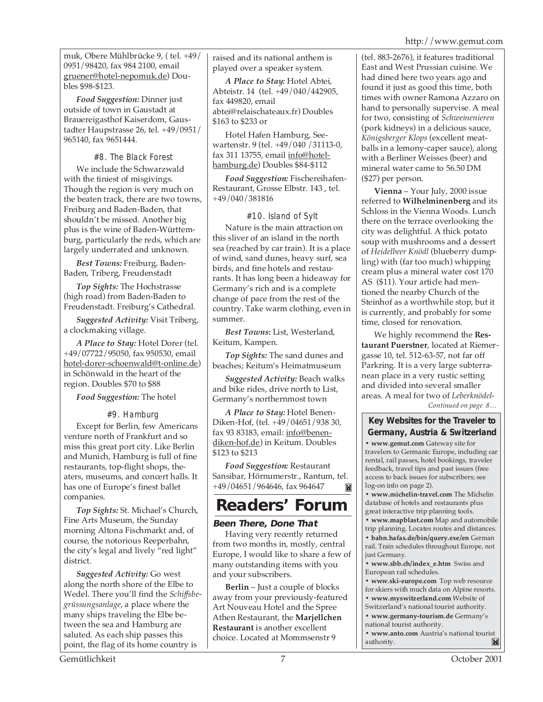muk, Obere Mühlbrücke 9, ( tel. +49/ 0951/98420, fax 984 2100, email gruener@hotel-nepomuk.de) Doubles \$98-\$123.

*Food Suggestion:* Dinner just outside of town in Gaustadt at Brauereigasthof Kaiserdom, Gaustadter Haupstrasse 26, tel. +49/0951/ 965140, fax 9651444.

#8. The Black Forest We include the Schwarzwald with the tiniest of misgivings. Though the region is very much on the beaten track, there are two towns, Freiburg and Baden-Baden, that shouldn't be missed. Another big plus is the wine of Baden-Württemburg, particularly the reds, which are largely underrated and unknown.

*Best Towns:* Freiburg, Baden-Baden, Triberg, Freudenstadt

*Top Sights:* The Hochstrasse (high road) from Baden-Baden to Freudenstadt. Freiburg's Cathedral.

*Suggested Activity:* Visit Triberg, a clockmaking village.

*A Place to Stay:* Hotel Dorer (tel. +49/07722/95050, fax 950530, email hotel-dorer-schoenwald@t-online.de) in Schönwald in the heart of the region. Doubles \$70 to \$88

*Food Suggestion:* The hotel

#9. Hamburg

Except for Berlin, few Americans venture north of Frankfurt and so miss this great port city. Like Berlin and Munich, Hamburg is full of fine restaurants, top-flight shops, theaters, museums, and concert halls. It has one of Europe's finest ballet companies.

*Top Sights:* St. Michael's Church, Fine Arts Museum, the Sunday morning Altona Fischmarkt and, of course, the notorious Reeperbahn, the city's legal and lively "red light" district.

*Suggested Activity:* Go west along the north shore of the Elbe to Wedel. There you'll find the *Schiffsbegrüssungsanlage*, a place where the many ships traveling the Elbe between the sea and Hamburg are saluted. As each ship passes this point, the flag of its home country is

raised and its national anthem is played over a speaker system.

*A Place to Stay:* Hotel Abtei, Abteistr. 14 (tel. +49/040/442905, fax 449820, email abtei@relaischateaux.fr) Doubles \$163 to \$233 or

Hotel Hafen Hamburg, Seewartenstr. 9 (tel. +49/040 /31113-0, fax 311 13755, email info@hotelhamburg.de) Doubles \$84-\$112

*Food Suggestion:* Fischereihafen-Restaurant, Grosse Elbstr. 143 , tel. +49/040/381816

#### #10. Island of Sylt

Nature is the main attraction on this sliver of an island in the north sea (reached by car train). It is a place of wind, sand dunes, heavy surf, sea birds, and fine hotels and restaurants. It has long been a hideaway for Germany's rich and is a complete change of pace from the rest of the country. Take warm clothing, even in summer.

*Best Towns***:** List, Westerland, Keitum, Kampen.

*Top Sights:* The sand dunes and beaches; Keitum's Heimatmuseum

*Suggested Activity:* Beach walks and bike rides, drive north to List, Germany's northernmost town

*A Place to Stay:* Hotel Benen-Diken-Hof, (tel. +49/04651/938 30, fax 93 83183, email: info@benendiken-hof.de) in Keitum. Doubles \$123 to \$213

*Food Suggestion:* Restaurant Sansibar, Hörnumerstr., Rantum, tel. +49/04651/964646, fax 964647 M

# **Readers' Forum**

#### **Been There, Done That**

Having very recently returned from two months in, mostly, central Europe, I would like to share a few of many outstanding items with you and your subscribers.

**Berlin** – Just a couple of blocks away from your previously-featured Art Nouveau Hotel and the Spree Athen Restaurant, the **Marjellchen Restaurant** is another excellent choice. Located at Mommsenstr 9

(tel. 883-2676), it features traditional East and West Prussian cuisine. We had dined here two years ago and found it just as good this time, both times with owner Ramona Azzaro on hand to personally supervise. A meal for two, consisting of *Schweinenieren* (pork kidneys) in a delicious sauce, *Königsberger Klops* (excellent meatballs in a lemony-caper sauce), along with a Berliner Weisses (beer) and mineral water came to 56.50 DM (\$27) per person.

**Vienna** – Your July, 2000 issue referred to **Wilhelminenberg** and its Schloss in the Vienna Woods. Lunch there on the terrace overlooking the city was delightful. A thick potato soup with mushrooms and a dessert of *Heidelbeer Knödl* (blueberry dumpling) with (far too much) whipping cream plus a mineral water cost 170 AS (\$11). Your article had mentioned the nearby Church of the Steinhof as a worthwhile stop, but it is currently, and probably for some time, closed for renovation.

*Continued on page 8…* We highly recommend the **Restaurant Puerstner**, located at Riemergasse 10, tel. 512-63-57, not far off Parkring. It is a very large subterranean place in a very rustic setting and divided into several smaller areas. A meal for two of *Leberknödel-*

#### **Key Websites for the Traveler to Germany, Austria & Switzerland**

**• www.gemut.com** Gateway site for travelers to Germanic Europe, including car rental, rail passes, hotel bookings, traveler feedback, travel tips and past issues (free access to back issues for subscribers; see log-on info on page 2).

**• www.michelin-travel.com** The Michelin database of hotels and restaurants plus great interactive trip planning tools.

**• www.mapblast.com** Map and automobile trip planning. Locates routes and distances.

**• bahn.hafas.de/bin/query.exe/en** German rail. Train schedules throughout Europe, not just Germany.

**• www.sbb.ch/index\_e.htm** Swiss and European rail schedules.

**• www.ski-europe.com** Top web resource for skiers with much data on Alpine resorts. **• www.myswitzerland.com** Website of

Switzerland's national tourist authority.

**• www.germany-tourism.de** Germany's national tourist authority.

**• www.anto.com** Austria's national tourist authority.  $\blacksquare$